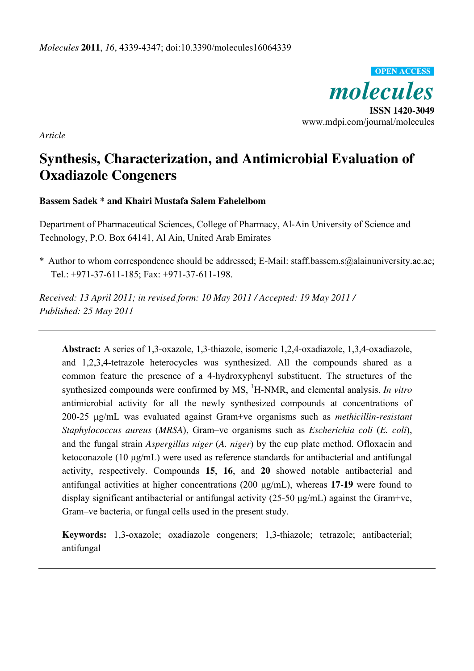

*Article* 

# **Synthesis, Characterization, and Antimicrobial Evaluation of Oxadiazole Congeners**

**Bassem Sadek \* and Khairi Mustafa Salem Fahelelbom** 

Department of Pharmaceutical Sciences, College of Pharmacy, Al-Ain University of Science and Technology, P.O. Box 64141, Al Ain, United Arab Emirates

\* Author to whom correspondence should be addressed; E-Mail: staff.bassem.s@alainuniversity.ac.ae; Tel.: +971-37-611-185; Fax: +971-37-611-198.

*Received: 13 April 2011; in revised form: 10 May 2011 / Accepted: 19 May 2011 / Published: 25 May 2011* 

**Abstract:** A series of 1,3-oxazole, 1,3-thiazole, isomeric 1,2,4-oxadiazole, 1,3,4-oxadiazole, and 1,2,3,4-tetrazole heterocycles was synthesized. All the compounds shared as a common feature the presence of a 4-hydroxyphenyl substituent. The structures of the synthesized compounds were confirmed by MS, <sup>1</sup>H-NMR, and elemental analysis. *In vitro* antimicrobial activity for all the newly synthesized compounds at concentrations of 200-25 μg/mL was evaluated against Gram+ve organisms such as *methicillin-resistant Staphylococcus aureus* (*MRSA*), Gram–ve organisms such as *Escherichia coli* (*E. coli*), and the fungal strain *Aspergillus niger* (*A. niger*) by the cup plate method. Ofloxacin and ketoconazole (10 μg/mL) were used as reference standards for antibacterial and antifungal activity, respectively. Compounds **15**, **16**, and **20** showed notable antibacterial and antifungal activities at higher concentrations (200 μg/mL), whereas **17**-**19** were found to display significant antibacterial or antifungal activity (25-50  $\mu$ g/mL) against the Gram+ve, Gram–ve bacteria, or fungal cells used in the present study.

**Keywords:** 1,3-oxazole; oxadiazole congeners; 1,3-thiazole; tetrazole; antibacterial; antifungal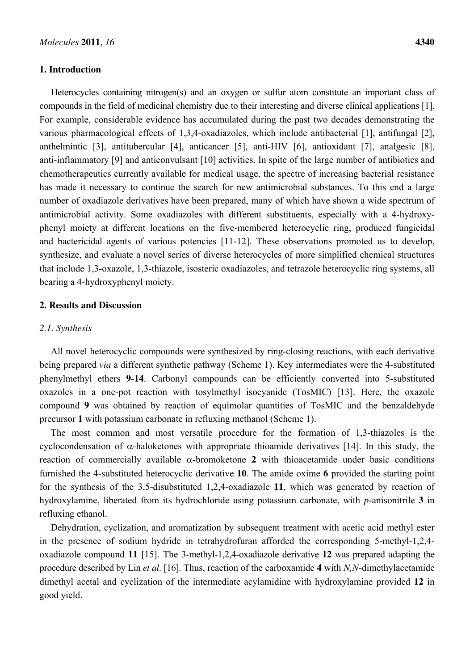#### **1. Introduction**

Heterocycles containing nitrogen(s) and an oxygen or sulfur atom constitute an important class of compounds in the field of medicinal chemistry due to their interesting and diverse clinical applications [1]. For example, considerable evidence has accumulated during the past two decades demonstrating the various pharmacological effects of 1,3,4-oxadiazoles, which include antibacterial [1], antifungal [2], anthelmintic [3], antitubercular [4], anticancer [5], anti-HIV [6], antioxidant [7], analgesic [8], anti-inflammatory [9] and anticonvulsant [10] activities. In spite of the large number of antibiotics and chemotherapeutics currently available for medical usage, the spectre of increasing bacterial resistance has made it necessary to continue the search for new antimicrobial substances. To this end a large number of oxadiazole derivatives have been prepared, many of which have shown a wide spectrum of antimicrobial activity. Some oxadiazoles with different substituents, especially with a 4-hydroxyphenyl moiety at different locations on the five-membered heterocyclic ring, produced fungicidal and bactericidal agents of various potencies [11-12]. These observations promoted us to develop, synthesize, and evaluate a novel series of diverse heterocycles of more simplified chemical structures that include 1,3-oxazole, 1,3-thiazole, isosteric oxadiazoles, and tetrazole heterocyclic ring systems, all bearing a 4-hydroxyphenyl moiety.

# **2. Results and Discussion**

#### *2.1. Synthesis*

All novel heterocyclic compounds were synthesized by ring-closing reactions, with each derivative being prepared *via* a different synthetic pathway (Scheme 1). Key intermediates were the 4-substituted phenylmethyl ethers **9**-**14**. Carbonyl compounds can be efficiently converted into 5-substituted oxazoles in a one-pot reaction with tosylmethyl isocyanide (TosMIC) [13]. Here, the oxazole compound **9** was obtained by reaction of equimolar quantities of TosMIC and the benzaldehyde precursor **1** with potassium carbonate in refluxing methanol (Scheme 1).

The most common and most versatile procedure for the formation of 1,3-thiazoles is the cyclocondensation of α-haloketones with appropriate thioamide derivatives [14]. In this study, the reaction of commercially available α-bromoketone **2** with thioacetamide under basic conditions furnished the 4-substituted heterocyclic derivative **10**. The amide oxime **6** provided the starting point for the synthesis of the 3,5-disubstituted 1,2,4-oxadiazole **11**, which was generated by reaction of hydroxylamine, liberated from its hydrochloride using potassium carbonate, with *p*-anisonitrile **3** in refluxing ethanol.

Dehydration, cyclization, and aromatization by subsequent treatment with acetic acid methyl ester in the presence of sodium hydride in tetrahydrofuran afforded the corresponding 5-methyl-1,2,4 oxadiazole compound **11** [15]. The 3-methyl-1,2,4-oxadiazole derivative **12** was prepared adapting the procedure described by Lin *et al*. [16]. Thus, reaction of the carboxamide **4** with *N,N*-dimethylacetamide dimethyl acetal and cyclization of the intermediate acylamidine with hydroxylamine provided **12** in good yield.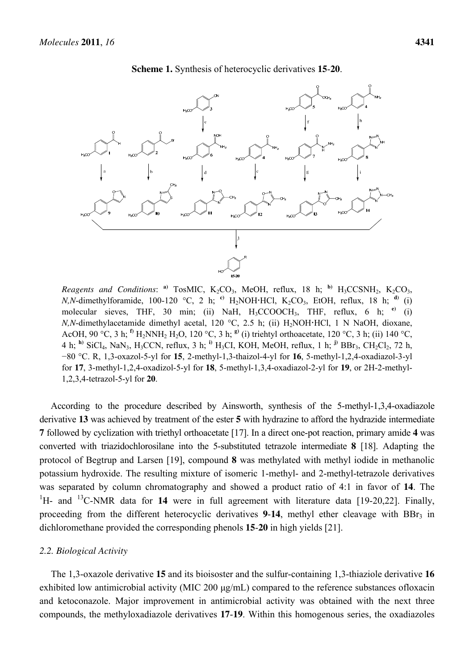

**Scheme 1.** Synthesis of heterocyclic derivatives **15**-**20**.

*Reagents and Conditions*: <sup>a)</sup> TosMIC,  $K_2CO_3$ , MeOH, reflux, 18 h; <sup>b)</sup> H<sub>3</sub>CCSNH<sub>2</sub>, K<sub>2</sub>CO<sub>3</sub>,  $N$ , $N$ -dimethylforamide, 100-120 °C, 2 h; <sup>c)</sup> H<sub>2</sub>NOH·HCl, K<sub>2</sub>CO<sub>3</sub>, EtOH, reflux, 18 h; <sup>d)</sup> (i) molecular sieves, THF, 30 min; (ii) NaH, H3CCOOCH3, THF, reflux, 6 h; **e)** (i)  $N$ ,  $N$ -dimethylacetamide dimethyl acetal, 120 °C, 2.5 h; (ii) H<sub>2</sub>NOH·HCl, 1 N NaOH, dioxane, AcOH, 90 °C, 3 h; **f)** H2NNH2 H2O, 120 °C, 3 h; **g)** (i) triehtyl orthoacetate, 120 °C, 3 h; (ii) 140 °C, 4 h; **h)** SiCl4, NaN3, H3CCN, reflux, 3 h; **i)** H3CI, KOH, MeOH, reflux, 1 h; **j)** BBr3, CH2Cl2, 72 h, −80 °C. R, 1,3-oxazol-5-yl for **15**, 2-methyl-1,3-thaizol-4-yl for **16**, 5-methyl-1,2,4-oxadiazol-3-yl for **17**, 3-methyl-1,2,4-oxadizol-5-yl for **18**, 5-methyl-1,3,4-oxadiazol-2-yl for **19**, or 2H-2-methyl-1,2,3,4-tetrazol-5-yl for **20**.

According to the procedure described by Ainsworth, synthesis of the 5-methyl-1,3,4-oxadiazole derivative **13** was achieved by treatment of the ester **5** with hydrazine to afford the hydrazide intermediate **7** followed by cyclization with triethyl orthoacetate [17]. In a direct one-pot reaction, primary amide **4** was converted with triazidochlorosilane into the 5-substituted tetrazole intermediate **8** [18]. Adapting the protocol of Begtrup and Larsen [19], compound **8** was methylated with methyl iodide in methanolic potassium hydroxide. The resulting mixture of isomeric 1-methyl- and 2-methyl-tetrazole derivatives was separated by column chromatography and showed a product ratio of 4:1 in favor of **14**. The <sup>1</sup>H- and <sup>13</sup>C-NMR data for **14** were in full agreement with literature data [19-20,22]. Finally, proceeding from the different heterocyclic derivatives  $9-14$ , methyl ether cleavage with BBr<sub>3</sub> in dichloromethane provided the corresponding phenols **15**-**20** in high yields [21].

#### *2.2. Biological Activity*

The 1,3-oxazole derivative **15** and its bioisoster and the sulfur-containing 1,3-thiaziole derivative **16** exhibited low antimicrobial activity (MIC 200  $\mu$ g/mL) compared to the reference substances of loxacin and ketoconazole. Major improvement in antimicrobial activity was obtained with the next three compounds, the methyloxadiazole derivatives **17**-**19**. Within this homogenous series, the oxadiazoles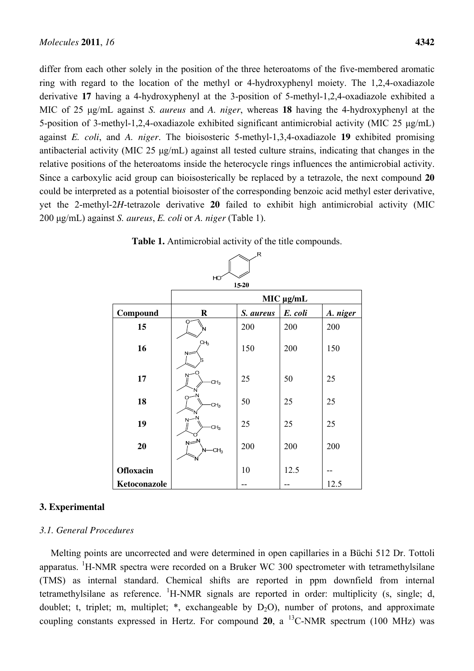differ from each other solely in the position of the three heteroatoms of the five-membered aromatic ring with regard to the location of the methyl or 4-hydroxyphenyl moiety. The 1,2,4-oxadiazole derivative **17** having a 4-hydroxyphenyl at the 3-position of 5-methyl-1,2,4-oxadiazole exhibited a MIC of 25 μg/mL against *S. aureus* and *A. niger*, whereas **18** having the 4-hydroxyphenyl at the 5-position of 3-methyl-1,2,4-oxadiazole exhibited significant antimicrobial activity (MIC 25 μg/mL) against *E. coli*, and *A. niger*. The bioisosteric 5-methyl-1,3,4-oxadiazole **19** exhibited promising antibacterial activity (MIC 25 μg/mL) against all tested culture strains, indicating that changes in the relative positions of the heteroatoms inside the heterocycle rings influences the antimicrobial activity. Since a carboxylic acid group can bioisosterically be replaced by a tetrazole, the next compound **20** could be interpreted as a potential bioisoster of the corresponding benzoic acid methyl ester derivative, yet the 2-methyl-2*H*-tetrazole derivative **20** failed to exhibit high antimicrobial activity (MIC 200 μg/mL) against *S. aureus*, *E. coli* or *A. niger* (Table 1).

| HO<br>15-20  |                                         |           |         |          |  |
|--------------|-----------------------------------------|-----------|---------|----------|--|
|              | MIC µg/mL                               |           |         |          |  |
| Compound     | $\bf R$                                 | S. aureus | E. coli | A. niger |  |
| 15           | Ω<br>Ν                                  | 200       | 200     | 200      |  |
| 16           | CH <sub>3</sub><br>$N =$                | 150       | 200     | 150      |  |
| 17           | CH <sub>3</sub>                         | 25        | 50      | 25       |  |
| 18           | O<br>CH <sub>3</sub>                    | 50        | 25      | 25       |  |
| 19           | N<br>CH <sub>3</sub>                    | 25        | 25      | 25       |  |
| 20           | $N = N$<br>,<br>N—CH <sub>3</sub><br>'N | 200       | 200     | 200      |  |
| Ofloxacin    |                                         | 10        | 12.5    |          |  |
| Ketoconazole |                                         |           |         | 12.5     |  |

| Table 1. Antimicrobial activity of the title compounds. |  |  |
|---------------------------------------------------------|--|--|
|---------------------------------------------------------|--|--|

 $R$  $\overline{\phantom{a}}$ 

## **3. Experimental**

#### *3.1. General Procedures*

Melting points are uncorrected and were determined in open capillaries in a Büchi 512 Dr. Tottoli apparatus. <sup>1</sup>H-NMR spectra were recorded on a Bruker WC 300 spectrometer with tetramethylsilane (TMS) as internal standard. Chemical shifts are reported in ppm downfield from internal tetramethylsilane as reference.  ${}^{1}$ H-NMR signals are reported in order: multiplicity (s, single; d, doublet; t, triplet; m, multiplet; \*, exchangeable by  $D_2O$ ), number of protons, and approximate coupling constants expressed in Hertz. For compound 20, a <sup>13</sup>C-NMR spectrum (100 MHz) was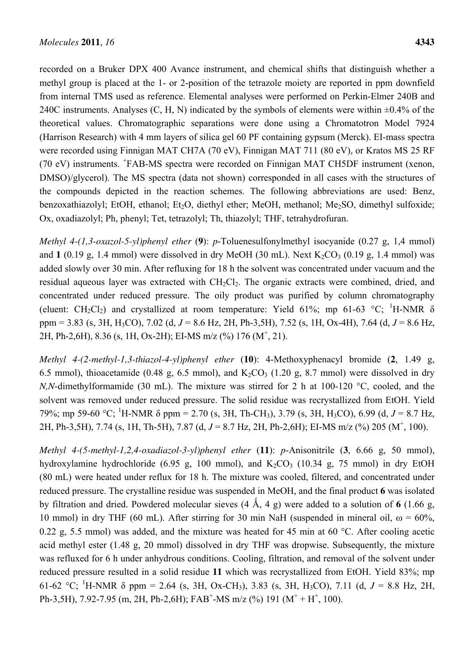recorded on a Bruker DPX 400 Avance instrument, and chemical shifts that distinguish whether a methyl group is placed at the 1- or 2-position of the tetrazole moiety are reported in ppm downfield from internal TMS used as reference. Elemental analyses were performed on Perkin-Elmer 240B and 240C instruments. Analyses  $(C, H, N)$  indicated by the symbols of elements were within  $\pm 0.4\%$  of the theoretical values. Chromatographic separations were done using a Chromatotron Model 7924 (Harrison Research) with 4 mm layers of silica gel 60 PF containing gypsum (Merck). EI-mass spectra were recorded using Finnigan MAT CH7A (70 eV), Finnigan MAT 711 (80 eV), or Kratos MS 25 RF (70 eV) instruments. <sup>+</sup>FAB-MS spectra were recorded on Finnigan MAT CH5DF instrument (xenon, DMSO)/glycerol). The MS spectra (data not shown) corresponded in all cases with the structures of the compounds depicted in the reaction schemes. The following abbreviations are used: Benz, benzoxathiazolyl; EtOH, ethanol; Et<sub>2</sub>O, diethyl ether; MeOH, methanol; Me<sub>2</sub>SO, dimethyl sulfoxide; Ox, oxadiazolyl; Ph, phenyl; Tet, tetrazolyl; Th, thiazolyl; THF, tetrahydrofuran.

*Methyl 4-(1,3-oxazol-5-yl)phenyl ether* (**9**): *p*-Toluenesulfonylmethyl isocyanide (0.27 g, 1,4 mmol) and  $1(0.19 \text{ g}, 1.4 \text{ mmol})$  were dissolved in dry MeOH (30 mL). Next K<sub>2</sub>CO<sub>3</sub> (0.19 g, 1.4 mmol) was added slowly over 30 min. After refluxing for 18 h the solvent was concentrated under vacuum and the residual aqueous layer was extracted with  $CH_2Cl_2$ . The organic extracts were combined, dried, and concentrated under reduced pressure. The oily product was purified by column chromatography (eluent: CH<sub>2</sub>Cl<sub>2</sub>) and crystallized at room temperature: Yield 61%; mp 61-63 °C; <sup>1</sup>H-NMR  $\delta$ ppm = 3.83 (s, 3H, H3CO), 7.02 (d, *J* = 8.6 Hz, 2H, Ph-3,5H), 7.52 (s, 1H, Ox-4H), 7.64 (d, *J* = 8.6 Hz, 2H, Ph-2,6H), 8.36 (s, 1H, Ox-2H); EI-MS m/z (%) 176 (M<sup>+</sup>, 21).

*Methyl 4-(2-methyl-1,3-thiazol-4-yl)phenyl ether* (**10**): 4-Methoxyphenacyl bromide (**2**, 1.49 g, 6.5 mmol), thioacetamide (0.48 g, 6.5 mmol), and  $K_2CO_3$  (1.20 g, 8.7 mmol) were dissolved in dry *N,N*-dimethylformamide (30 mL). The mixture was stirred for 2 h at 100-120 °C, cooled, and the solvent was removed under reduced pressure. The solid residue was recrystallized from EtOH. Yield 79%; mp 59-60 °C; <sup>1</sup>H-NMR  $\delta$  ppm = 2.70 (s, 3H, Th-CH<sub>3</sub>), 3.79 (s, 3H, H<sub>3</sub>CO), 6.99 (d, *J* = 8.7 Hz, 2H, Ph-3,5H), 7.74 (s, 1H, Th-5H), 7.87 (d, *J* = 8.7 Hz, 2H, Ph-2,6H); EI-MS m/z (%) 205 (M<sup>+</sup> , 100).

*Methyl 4-(5-methyl-1,2,4-oxadiazol-3-yl)phenyl ether* (**11**): *p*-Anisonitrile (**3**, 6.66 g, 50 mmol), hydroxylamine hydrochloride (6.95 g, 100 mmol), and  $K_2CO_3$  (10.34 g, 75 mmol) in dry EtOH (80 mL) were heated under reflux for 18 h. The mixture was cooled, filtered, and concentrated under reduced pressure. The crystalline residue was suspended in MeOH, and the final product **6** was isolated by filtration and dried. Powdered molecular sieves  $(4 \text{ Å}, 4 \text{ g})$  were added to a solution of **6** (1.66 g, 10 mmol) in dry THF (60 mL). After stirring for 30 min NaH (suspended in mineral oil,  $\omega = 60\%$ , 0.22 g, 5.5 mmol) was added, and the mixture was heated for 45 min at 60 °C. After cooling acetic acid methyl ester (1.48 g, 20 mmol) dissolved in dry THF was dropwise. Subsequently, the mixture was refluxed for 6 h under anhydrous conditions. Cooling, filtration, and removal of the solvent under reduced pressure resulted in a solid residue **11** which was recrystallized from EtOH. Yield 83%; mp 61-62 °C; <sup>1</sup>H-NMR  $\delta$  ppm = 2.64 (s, 3H, Ox-CH<sub>3</sub>), 3.83 (s, 3H, H<sub>3</sub>CO), 7.11 (d,  $J = 8.8$  Hz, 2H, Ph-3,5H), 7.92-7.95 (m, 2H, Ph-2,6H); FAB<sup>+</sup>-MS m/z (%) 191 (M<sup>+</sup> + H<sup>+</sup>, 100).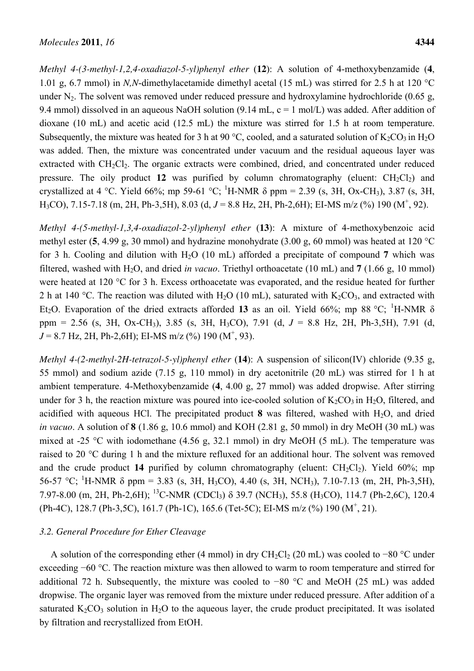*Methyl 4-(3-methyl-1,2,4-oxadiazol-5-yl)phenyl ether* (**12**): A solution of 4-methoxybenzamide (**4**, 1.01 g, 6.7 mmol) in *N,N*-dimethylacetamide dimethyl acetal (15 mL) was stirred for 2.5 h at 120 °C under  $N_2$ . The solvent was removed under reduced pressure and hydroxylamine hydrochloride (0.65 g, 9.4 mmol) dissolved in an aqueous NaOH solution (9.14 mL,  $c = 1$  mol/L) was added. After addition of dioxane (10 mL) and acetic acid (12.5 mL) the mixture was stirred for 1.5 h at room temperature. Subsequently, the mixture was heated for 3 h at 90 °C, cooled, and a saturated solution of  $K_2CO_3$  in H<sub>2</sub>O was added. Then, the mixture was concentrated under vacuum and the residual aqueous layer was extracted with CH<sub>2</sub>Cl<sub>2</sub>. The organic extracts were combined, dried, and concentrated under reduced pressure. The oily product 12 was purified by column chromatography (eluent:  $CH_2Cl_2$ ) and crystallized at 4 °C. Yield 66%; mp 59-61 °C; <sup>1</sup>H-NMR  $\delta$  ppm = 2.39 (s, 3H, Ox-CH<sub>3</sub>), 3.87 (s, 3H, H<sub>3</sub>CO), 7.15-7.18 (m, 2H, Ph-3,5H), 8.03 (d, J = 8.8 Hz, 2H, Ph-2,6H); EI-MS m/z (%) 190 (M<sup>+</sup>, 92).

*Methyl 4-(5-methyl-1,3,4-oxadiazol-2-yl)phenyl ether* (**13**): A mixture of 4-methoxybenzoic acid methyl ester (**5**, 4.99 g, 30 mmol) and hydrazine monohydrate (3.00 g, 60 mmol) was heated at 120 °C for 3 h. Cooling and dilution with H2O (10 mL) afforded a precipitate of compound **7** which was filtered, washed with H2O, and dried *in vacuo*. Triethyl orthoacetate (10 mL) and **7** (1.66 g, 10 mmol) were heated at 120 °C for 3 h. Excess orthoacetate was evaporated, and the residue heated for further 2 h at 140 °C. The reaction was diluted with H<sub>2</sub>O (10 mL), saturated with K<sub>2</sub>CO<sub>3</sub>, and extracted with Et<sub>2</sub>O. Evaporation of the dried extracts afforded 13 as an oil. Yield 66%; mp 88 °C; <sup>1</sup>H-NMR δ ppm = 2.56 (s, 3H, Ox-CH3), 3.85 (s, 3H, H3CO), 7.91 (d, *J* = 8.8 Hz, 2H, Ph-3,5H), 7.91 (d,  $J = 8.7$  Hz, 2H, Ph-2,6H); EI-MS m/z (%) 190 (M<sup>+</sup>, 93).

*Methyl 4-(2-methyl-2H-tetrazol-5-yl)phenyl ether* (**14**): A suspension of silicon(IV) chloride (9.35 g, 55 mmol) and sodium azide (7.15 g, 110 mmol) in dry acetonitrile (20 mL) was stirred for 1 h at ambient temperature. 4-Methoxybenzamide (**4**, 4.00 g, 27 mmol) was added dropwise. After stirring under for 3 h, the reaction mixture was poured into ice-cooled solution of  $K_2CO_3$  in H<sub>2</sub>O, filtered, and acidified with aqueous HCl. The precipitated product  $\bf{8}$  was filtered, washed with H<sub>2</sub>O, and dried *in vacuo*. A solution of **8** (1.86 g, 10.6 mmol) and KOH (2.81 g, 50 mmol) in dry MeOH (30 mL) was mixed at -25 °C with iodomethane (4.56 g, 32.1 mmol) in dry MeOH (5 mL). The temperature was raised to 20 °C during 1 h and the mixture refluxed for an additional hour. The solvent was removed and the crude product  $14$  purified by column chromatography (eluent:  $CH_2Cl_2$ ). Yield  $60\%$ ; mp 56-57 °C; <sup>1</sup>H-NMR  $\delta$  ppm = 3.83 (s, 3H, H<sub>3</sub>CO), 4.40 (s, 3H, NCH<sub>3</sub>), 7.10-7.13 (m, 2H, Ph-3,5H), 7.97-8.00 (m, 2H, Ph-2,6H); <sup>13</sup>C-NMR (CDCl3) δ 39.7 (NCH3), 55.8 (H3CO), 114.7 (Ph-2,6C), 120.4 (Ph-4C), 128.7 (Ph-3,5C), 161.7 (Ph-1C), 165.6 (Tet-5C); EI-MS m/z (%) 190 (M<sup>+</sup>, 21).

#### *3.2. General Procedure for Ether Cleavage*

A solution of the corresponding ether (4 mmol) in dry CH<sub>2</sub>Cl<sub>2</sub> (20 mL) was cooled to −80 °C under exceeding −60 °C. The reaction mixture was then allowed to warm to room temperature and stirred for additional 72 h. Subsequently, the mixture was cooled to −80 °C and MeOH (25 mL) was added dropwise. The organic layer was removed from the mixture under reduced pressure. After addition of a saturated  $K_2CO_3$  solution in  $H_2O$  to the aqueous layer, the crude product precipitated. It was isolated by filtration and recrystallized from EtOH.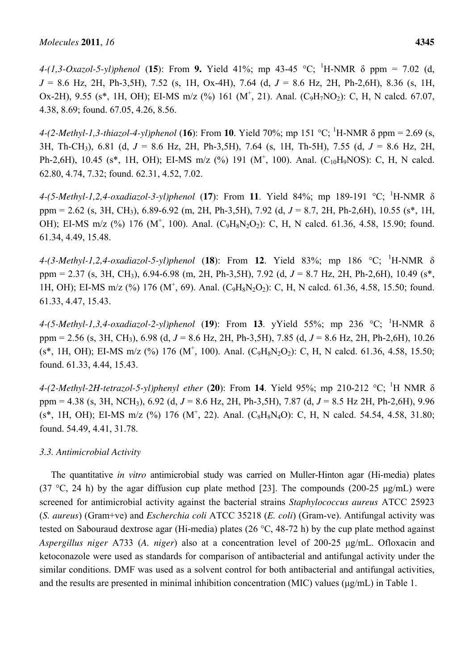*4-(1,3-Oxazol-5-yl)phenol* (**15**): From **9.** Yield 41%; mp 43-45 °C; <sup>1</sup>H-NMR δ ppm = 7.02 (d,

*J* = 8.6 Hz, 2H, Ph-3,5H), 7.52 (s, 1H, Ox-4H), 7.64 (d, *J* = 8.6 Hz, 2H, Ph-2,6H), 8.36 (s, 1H, Ox-2H), 9.55 (s<sup>\*</sup>, 1H, OH); EI-MS m/z (%) 161 (M<sup>+</sup>, 21). Anal. (C<sub>9</sub>H<sub>7</sub>NO<sub>2</sub>): C, H, N calcd. 67.07, 4.38, 8.69; found. 67.05, 4.26, 8.56.

*4*-(2-*Methyl-1,3-thiazol-4-yl)phenol* (**16**): From **10**. Yield 70%; mp 151 °C; <sup>1</sup>H-NMR δ ppm = 2.69 (s, 3H, Th-CH3), 6.81 (d, *J* = 8.6 Hz, 2H, Ph-3,5H), 7.64 (s, 1H, Th-5H), 7.55 (d, *J* = 8.6 Hz, 2H, Ph-2,6H), 10.45 (s<sup>\*</sup>, 1H, OH); EI-MS m/z (%) 191 (M<sup>+</sup>, 100). Anal. (C<sub>10</sub>H<sub>9</sub>NOS): C, H, N calcd. 62.80, 4.74, 7.32; found. 62.31, 4.52, 7.02.

*4-(5-Methyl-1,2,4-oxadiazol-3-yl)phenol* (**17**): From **11**. Yield 84%; mp 189-191 °C; <sup>1</sup>H-NMR δ ppm = 2.62 (s, 3H, CH3), 6.89-6.92 (m, 2H, Ph-3,5H), 7.92 (d, *J* = 8.7, 2H, Ph-2,6H), 10.55 (s\*, 1H, OH); EI-MS m/z (%) 176 (M<sup>+</sup>, 100). Anal. (C<sub>9</sub>H<sub>8</sub>N<sub>2</sub>O<sub>2</sub>): C, H, N calcd. 61.36, 4.58, 15.90; found. 61.34, 4.49, 15.48.

*4-(3-Methyl-1,2,4-oxadiazol-5-yl)phenol* (**18**): From **12**. Yield 83%; mp 186 °C; <sup>1</sup>H-NMR δ ppm = 2.37 (s, 3H, CH3), 6.94-6.98 (m, 2H, Ph-3,5H), 7.92 (d, *J* = 8.7 Hz, 2H, Ph-2,6H), 10.49 (s\*, 1H, OH); EI-MS m/z (%) 176 (M<sup>+</sup>, 69). Anal. (C<sub>9</sub>H<sub>8</sub>N<sub>2</sub>O<sub>2</sub>): C, H, N calcd. 61.36, 4.58, 15.50; found. 61.33, 4.47, 15.43.

*4-(5-Methyl-1,3,4-oxadiazol-2-yl)phenol* (**19**): From **13**. yYield 55%; mp 236 °C; <sup>1</sup>H-NMR δ ppm = 2.56 (s, 3H, CH3), 6.98 (d, *J* = 8.6 Hz, 2H, Ph-3,5H), 7.85 (d, *J* = 8.6 Hz, 2H, Ph-2,6H), 10.26  $(s*, 1H, OH)$ ; EI-MS m/z (%) 176 (M<sup>+</sup>, 100). Anal. (C<sub>9</sub>H<sub>8</sub>N<sub>2</sub>O<sub>2</sub>): C, H, N calcd. 61.36, 4.58, 15.50; found. 61.33, 4.44, 15.43.

*4-(2-Methyl-2H-tetrazol-5-yl)phenyl ether* (**20**): From **14**. Yield 95%; mp 210-212 °C; <sup>1</sup>H NMR δ ppm = 4.38 (s, 3H, NCH3), 6.92 (d, *J* = 8.6 Hz, 2H, Ph-3,5H), 7.87 (d, *J* = 8.5 Hz 2H, Ph-2,6H), 9.96  $(s*, 1H, OH)$ ; EI-MS m/z (%) 176 (M<sup>+</sup>, 22). Anal. (C<sub>8</sub>H<sub>8</sub>N<sub>4</sub>O): C, H, N calcd. 54.54, 4.58, 31.80; found. 54.49, 4.41, 31.78.

# *3.3. Antimicrobial Activity*

The quantitative *in vitro* antimicrobial study was carried on Muller-Hinton agar (Hi-media) plates (37 °C, 24 h) by the agar diffusion cup plate method [23]. The compounds (200-25  $\mu$ g/mL) were screened for antimicrobial activity against the bacterial strains *Staphylococcus aureus* ATCC 25923 (*S. aureus*) (Gram+ve) and *Escherchia coli* ATCC 35218 (*E. coli*) (Gram-ve). Antifungal activity was tested on Sabouraud dextrose agar (Hi-media) plates (26 °C, 48-72 h) by the cup plate method against *Aspergillus niger* A733 (*A. niger*) also at a concentration level of 200-25 μg/mL. Ofloxacin and ketoconazole were used as standards for comparison of antibacterial and antifungal activity under the similar conditions. DMF was used as a solvent control for both antibacterial and antifungal activities, and the results are presented in minimal inhibition concentration (MIC) values (μg/mL) in Table 1.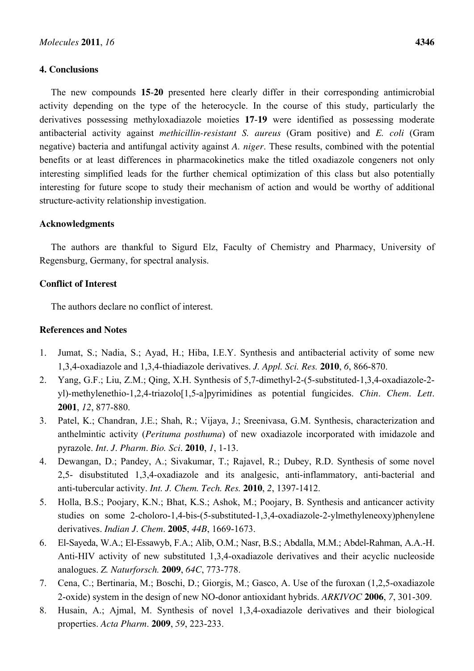#### **4. Conclusions**

The new compounds **15**-**20** presented here clearly differ in their corresponding antimicrobial activity depending on the type of the heterocycle. In the course of this study, particularly the derivatives possessing methyloxadiazole moieties **17**-**19** were identified as possessing moderate antibacterial activity against *methicillin-resistant S. aureus* (Gram positive) and *E. coli* (Gram negative) bacteria and antifungal activity against *A. niger*. These results, combined with the potential benefits or at least differences in pharmacokinetics make the titled oxadiazole congeners not only interesting simplified leads for the further chemical optimization of this class but also potentially interesting for future scope to study their mechanism of action and would be worthy of additional structure-activity relationship investigation.

#### **Acknowledgments**

The authors are thankful to Sigurd Elz, Faculty of Chemistry and Pharmacy, University of Regensburg, Germany, for spectral analysis.

## **Conflict of Interest**

The authors declare no conflict of interest.

#### **References and Notes**

- 1. Jumat, S.; Nadia, S.; Ayad, H.; Hiba, I.E.Y. Synthesis and antibacterial activity of some new 1,3,4-oxadiazole and 1,3,4-thiadiazole derivatives. *J. Appl. Sci. Res.* **2010**, *6*, 866-870.
- 2. Yang, G.F.; Liu, Z.M.; Qing, X.H. Synthesis of 5,7-dimethyl-2-(5-substituted-1,3,4-oxadiazole-2 yl)-methylenethio-1,2,4-triazolo[1,5-a]pyrimidines as potential fungicides. *Chin*. *Chem*. *Lett*. **2001**, *12*, 877-880.
- 3. Patel, K.; Chandran, J.E.; Shah, R.; Vijaya, J.; Sreenivasa, G.M. Synthesis, characterization and anthelmintic activity (*Perituma posthuma*) of new oxadiazole incorporated with imidazole and pyrazole. *Int*. *J*. *Pharm*. *Bio. Sci*. **2010**, *1*, 1-13.
- 4. Dewangan, D.; Pandey, A.; Sivakumar, T.; Rajavel, R.; Dubey, R.D. Synthesis of some novel 2,5- disubstituted 1,3,4-oxadiazole and its analgesic, anti-inflammatory, anti-bacterial and anti-tubercular activity. *Int. J. Chem. Tech. Res.* **2010**, *2*, 1397-1412.
- 5. Holla, B.S.; Poojary, K.N.; Bhat, K.S.; Ashok, M.; Poojary, B. Synthesis and anticancer activity studies on some 2-choloro-1,4-bis-(5-substituted-1,3,4-oxadiazole-2-ylmethyleneoxy)phenylene derivatives. *Indian J*. *Chem*. **2005**, *44B*, 1669-1673.
- 6. El-Sayeda, W.A.; El-Essawyb, F.A.; Alib, O.M.; Nasr, B.S.; Abdalla, M.M.; Abdel-Rahman, A.A.-H. Anti-HIV activity of new substituted 1,3,4-oxadiazole derivatives and their acyclic nucleoside analogues. *Z. Naturforsch.* **2009**, *64C*, 773-778.
- 7. Cena, C.; Bertinaria, M.; Boschi, D.; Giorgis, M.; Gasco, A. Use of the furoxan (1,2,5-oxadiazole 2-oxide) system in the design of new NO-donor antioxidant hybrids. *ARKIVOC* **2006**, *7*, 301-309.
- 8. Husain, A.; Ajmal, M. Synthesis of novel 1,3,4-oxadiazole derivatives and their biological properties. *Acta Pharm*. **2009**, *59*, 223-233.